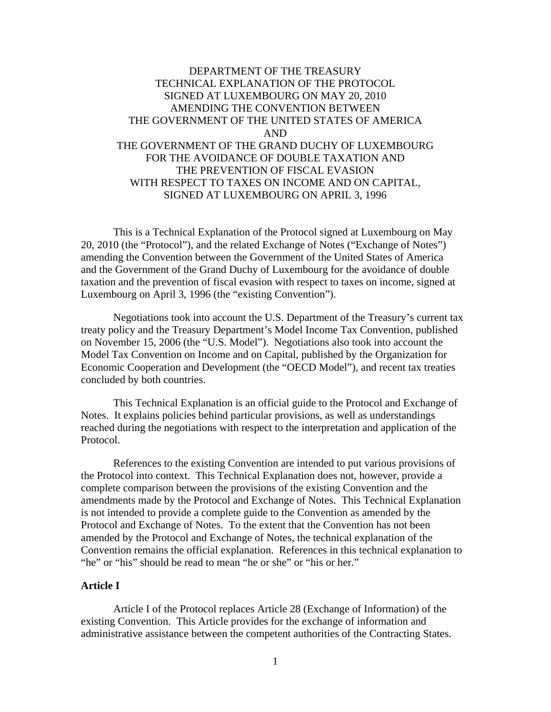# DEPARTMENT OF THE TREASURY TECHNICAL EXPLANATION OF THE PROTOCOL SIGNED AT LUXEMBOURG ON MAY 20, 2010 AMENDING THE CONVENTION BETWEEN THE GOVERNMENT OF THE UNITED STATES OF AMERICA AND THE GOVERNMENT OF THE GRAND DUCHY OF LUXEMBOURG FOR THE AVOIDANCE OF DOUBLE TAXATION AND THE PREVENTION OF FISCAL EVASION WITH RESPECT TO TAXES ON INCOME AND ON CAPITAL, SIGNED AT LUXEMBOURG ON APRIL 3, 1996

This is a Technical Explanation of the Protocol signed at Luxembourg on May 20, 2010 (the "Protocol"), and the related Exchange of Notes ("Exchange of Notes") amending the Convention between the Government of the United States of America and the Government of the Grand Duchy of Luxembourg for the avoidance of double taxation and the prevention of fiscal evasion with respect to taxes on income, signed at Luxembourg on April 3, 1996 (the "existing Convention").

Negotiations took into account the U.S. Department of the Treasury's current tax treaty policy and the Treasury Department's Model Income Tax Convention, published on November 15, 2006 (the "U.S. Model"). Negotiations also took into account the Model Tax Convention on Income and on Capital, published by the Organization for Economic Cooperation and Development (the "OECD Model"), and recent tax treaties concluded by both countries.

This Technical Explanation is an official guide to the Protocol and Exchange of Notes. It explains policies behind particular provisions, as well as understandings reached during the negotiations with respect to the interpretation and application of the Protocol.

References to the existing Convention are intended to put various provisions of the Protocol into context. This Technical Explanation does not, however, provide a complete comparison between the provisions of the existing Convention and the amendments made by the Protocol and Exchange of Notes. This Technical Explanation is not intended to provide a complete guide to the Convention as amended by the Protocol and Exchange of Notes. To the extent that the Convention has not been amended by the Protocol and Exchange of Notes, the technical explanation of the Convention remains the official explanation. References in this technical explanation to "he" or "his" should be read to mean "he or she" or "his or her."

# **Article I**

Article I of the Protocol replaces Article 28 (Exchange of Information) of the existing Convention. This Article provides for the exchange of information and administrative assistance between the competent authorities of the Contracting States.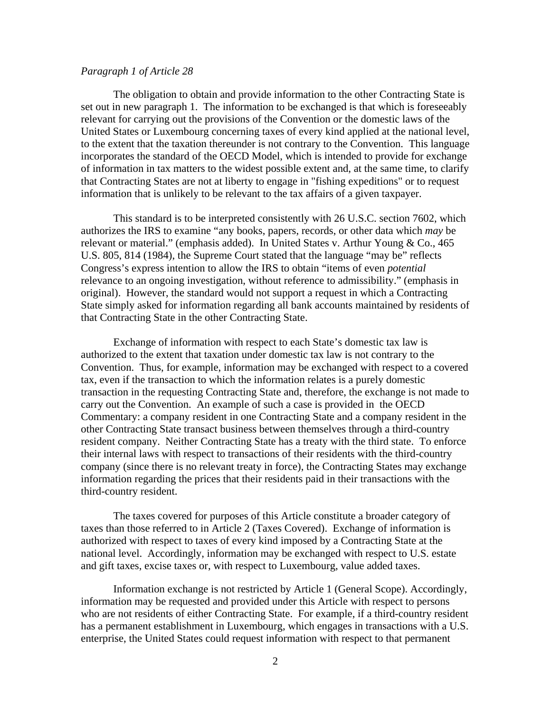# *Paragraph 1 of Article 28*

The obligation to obtain and provide information to the other Contracting State is set out in new paragraph 1. The information to be exchanged is that which is foreseeably relevant for carrying out the provisions of the Convention or the domestic laws of the United States or Luxembourg concerning taxes of every kind applied at the national level, to the extent that the taxation thereunder is not contrary to the Convention. This language incorporates the standard of the OECD Model, which is intended to provide for exchange of information in tax matters to the widest possible extent and, at the same time, to clarify that Contracting States are not at liberty to engage in "fishing expeditions" or to request information that is unlikely to be relevant to the tax affairs of a given taxpayer.

This standard is to be interpreted consistently with 26 U.S.C. section 7602, which authorizes the IRS to examine "any books, papers, records, or other data which *may* be relevant or material." (emphasis added). In United States v. Arthur Young & Co., 465 U.S. 805, 814 (1984), the Supreme Court stated that the language "may be" reflects Congress's express intention to allow the IRS to obtain "items of even *potential* relevance to an ongoing investigation, without reference to admissibility." (emphasis in original). However, the standard would not support a request in which a Contracting State simply asked for information regarding all bank accounts maintained by residents of that Contracting State in the other Contracting State.

Exchange of information with respect to each State's domestic tax law is authorized to the extent that taxation under domestic tax law is not contrary to the Convention. Thus, for example, information may be exchanged with respect to a covered tax, even if the transaction to which the information relates is a purely domestic transaction in the requesting Contracting State and, therefore, the exchange is not made to carry out the Convention. An example of such a case is provided in the OECD Commentary: a company resident in one Contracting State and a company resident in the other Contracting State transact business between themselves through a third-country resident company. Neither Contracting State has a treaty with the third state. To enforce their internal laws with respect to transactions of their residents with the third-country company (since there is no relevant treaty in force), the Contracting States may exchange information regarding the prices that their residents paid in their transactions with the third-country resident.

The taxes covered for purposes of this Article constitute a broader category of taxes than those referred to in Article 2 (Taxes Covered). Exchange of information is authorized with respect to taxes of every kind imposed by a Contracting State at the national level. Accordingly, information may be exchanged with respect to U.S. estate and gift taxes, excise taxes or, with respect to Luxembourg, value added taxes.

Information exchange is not restricted by Article 1 (General Scope). Accordingly, information may be requested and provided under this Article with respect to persons who are not residents of either Contracting State. For example, if a third-country resident has a permanent establishment in Luxembourg, which engages in transactions with a U.S. enterprise, the United States could request information with respect to that permanent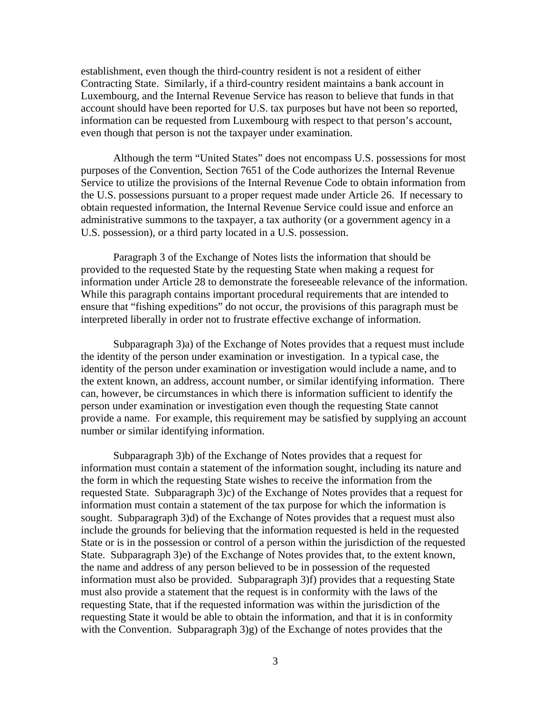establishment, even though the third-country resident is not a resident of either Contracting State. Similarly, if a third-country resident maintains a bank account in Luxembourg, and the Internal Revenue Service has reason to believe that funds in that account should have been reported for U.S. tax purposes but have not been so reported, information can be requested from Luxembourg with respect to that person's account, even though that person is not the taxpayer under examination.

Although the term "United States" does not encompass U.S. possessions for most purposes of the Convention, Section 7651 of the Code authorizes the Internal Revenue Service to utilize the provisions of the Internal Revenue Code to obtain information from the U.S. possessions pursuant to a proper request made under Article 26. If necessary to obtain requested information, the Internal Revenue Service could issue and enforce an administrative summons to the taxpayer, a tax authority (or a government agency in a U.S. possession), or a third party located in a U.S. possession.

Paragraph 3 of the Exchange of Notes lists the information that should be provided to the requested State by the requesting State when making a request for information under Article 28 to demonstrate the foreseeable relevance of the information. While this paragraph contains important procedural requirements that are intended to ensure that "fishing expeditions" do not occur, the provisions of this paragraph must be interpreted liberally in order not to frustrate effective exchange of information.

Subparagraph 3)a) of the Exchange of Notes provides that a request must include the identity of the person under examination or investigation. In a typical case, the identity of the person under examination or investigation would include a name, and to the extent known, an address, account number, or similar identifying information. There can, however, be circumstances in which there is information sufficient to identify the person under examination or investigation even though the requesting State cannot provide a name. For example, this requirement may be satisfied by supplying an account number or similar identifying information.

Subparagraph 3)b) of the Exchange of Notes provides that a request for information must contain a statement of the information sought, including its nature and the form in which the requesting State wishes to receive the information from the requested State. Subparagraph 3)c) of the Exchange of Notes provides that a request for information must contain a statement of the tax purpose for which the information is sought. Subparagraph 3)d) of the Exchange of Notes provides that a request must also include the grounds for believing that the information requested is held in the requested State or is in the possession or control of a person within the jurisdiction of the requested State. Subparagraph 3)e) of the Exchange of Notes provides that, to the extent known, the name and address of any person believed to be in possession of the requested information must also be provided. Subparagraph 3)f) provides that a requesting State must also provide a statement that the request is in conformity with the laws of the requesting State, that if the requested information was within the jurisdiction of the requesting State it would be able to obtain the information, and that it is in conformity with the Convention. Subparagraph 3)g) of the Exchange of notes provides that the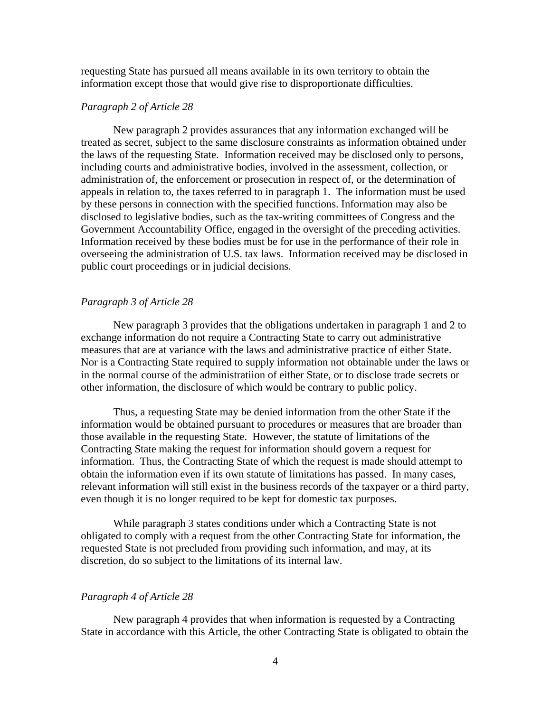requesting State has pursued all means available in its own territory to obtain the information except those that would give rise to disproportionate difficulties.

# *Paragraph 2 of Article 28*

New paragraph 2 provides assurances that any information exchanged will be treated as secret, subject to the same disclosure constraints as information obtained under the laws of the requesting State. Information received may be disclosed only to persons, including courts and administrative bodies, involved in the assessment, collection, or administration of, the enforcement or prosecution in respect of, or the determination of appeals in relation to, the taxes referred to in paragraph 1. The information must be used by these persons in connection with the specified functions. Information may also be disclosed to legislative bodies, such as the tax-writing committees of Congress and the Government Accountability Office, engaged in the oversight of the preceding activities. Information received by these bodies must be for use in the performance of their role in overseeing the administration of U.S. tax laws. Information received may be disclosed in public court proceedings or in judicial decisions.

## *Paragraph 3 of Article 28*

New paragraph 3 provides that the obligations undertaken in paragraph 1 and 2 to exchange information do not require a Contracting State to carry out administrative measures that are at variance with the laws and administrative practice of either State. Nor is a Contracting State required to supply information not obtainable under the laws or in the normal course of the administratiion of either State, or to disclose trade secrets or other information, the disclosure of which would be contrary to public policy.

Thus, a requesting State may be denied information from the other State if the information would be obtained pursuant to procedures or measures that are broader than those available in the requesting State. However, the statute of limitations of the Contracting State making the request for information should govern a request for information. Thus, the Contracting State of which the request is made should attempt to obtain the information even if its own statute of limitations has passed. In many cases, relevant information will still exist in the business records of the taxpayer or a third party, even though it is no longer required to be kept for domestic tax purposes.

While paragraph 3 states conditions under which a Contracting State is not obligated to comply with a request from the other Contracting State for information, the requested State is not precluded from providing such information, and may, at its discretion, do so subject to the limitations of its internal law.

# *Paragraph 4 of Article 28*

New paragraph 4 provides that when information is requested by a Contracting State in accordance with this Article, the other Contracting State is obligated to obtain the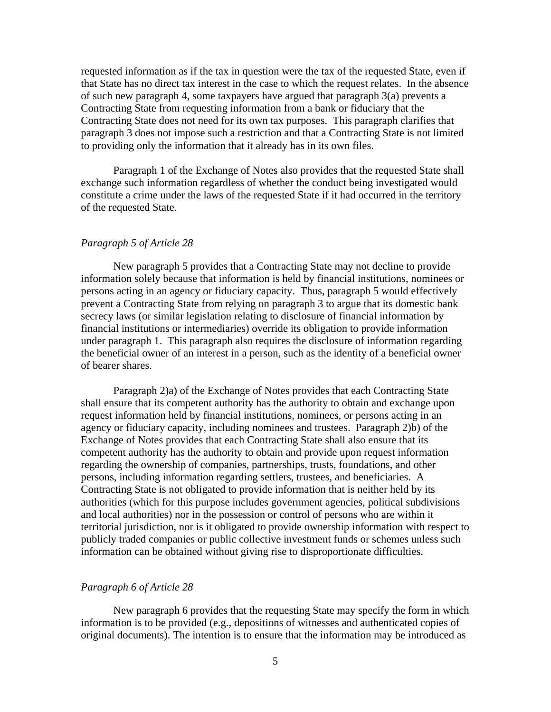requested information as if the tax in question were the tax of the requested State, even if that State has no direct tax interest in the case to which the request relates. In the absence of such new paragraph 4, some taxpayers have argued that paragraph 3(a) prevents a Contracting State from requesting information from a bank or fiduciary that the Contracting State does not need for its own tax purposes. This paragraph clarifies that paragraph 3 does not impose such a restriction and that a Contracting State is not limited to providing only the information that it already has in its own files.

Paragraph 1 of the Exchange of Notes also provides that the requested State shall exchange such information regardless of whether the conduct being investigated would constitute a crime under the laws of the requested State if it had occurred in the territory of the requested State.

#### *Paragraph 5 of Article 28*

New paragraph 5 provides that a Contracting State may not decline to provide information solely because that information is held by financial institutions, nominees or persons acting in an agency or fiduciary capacity. Thus, paragraph 5 would effectively prevent a Contracting State from relying on paragraph 3 to argue that its domestic bank secrecy laws (or similar legislation relating to disclosure of financial information by financial institutions or intermediaries) override its obligation to provide information under paragraph 1. This paragraph also requires the disclosure of information regarding the beneficial owner of an interest in a person, such as the identity of a beneficial owner of bearer shares.

Paragraph 2)a) of the Exchange of Notes provides that each Contracting State shall ensure that its competent authority has the authority to obtain and exchange upon request information held by financial institutions, nominees, or persons acting in an agency or fiduciary capacity, including nominees and trustees. Paragraph 2)b) of the Exchange of Notes provides that each Contracting State shall also ensure that its competent authority has the authority to obtain and provide upon request information regarding the ownership of companies, partnerships, trusts, foundations, and other persons, including information regarding settlers, trustees, and beneficiaries. A Contracting State is not obligated to provide information that is neither held by its authorities (which for this purpose includes government agencies, political subdivisions and local authorities) nor in the possession or control of persons who are within it territorial jurisdiction, nor is it obligated to provide ownership information with respect to publicly traded companies or public collective investment funds or schemes unless such information can be obtained without giving rise to disproportionate difficulties.

#### *Paragraph 6 of Article 28*

New paragraph 6 provides that the requesting State may specify the form in which information is to be provided (e.g., depositions of witnesses and authenticated copies of original documents). The intention is to ensure that the information may be introduced as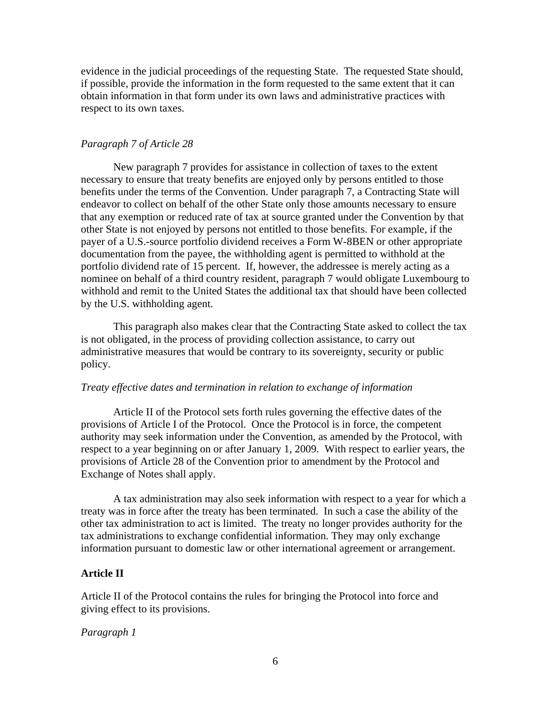evidence in the judicial proceedings of the requesting State. The requested State should, if possible, provide the information in the form requested to the same extent that it can obtain information in that form under its own laws and administrative practices with respect to its own taxes.

# *Paragraph 7 of Article 28*

New paragraph 7 provides for assistance in collection of taxes to the extent necessary to ensure that treaty benefits are enjoyed only by persons entitled to those benefits under the terms of the Convention. Under paragraph 7, a Contracting State will endeavor to collect on behalf of the other State only those amounts necessary to ensure that any exemption or reduced rate of tax at source granted under the Convention by that other State is not enjoyed by persons not entitled to those benefits. For example, if the payer of a U.S.-source portfolio dividend receives a Form W-8BEN or other appropriate documentation from the payee, the withholding agent is permitted to withhold at the portfolio dividend rate of 15 percent. If, however, the addressee is merely acting as a nominee on behalf of a third country resident, paragraph 7 would obligate Luxembourg to withhold and remit to the United States the additional tax that should have been collected by the U.S. withholding agent.

This paragraph also makes clear that the Contracting State asked to collect the tax is not obligated, in the process of providing collection assistance, to carry out administrative measures that would be contrary to its sovereignty, security or public policy.

# *Treaty effective dates and termination in relation to exchange of information*

Article II of the Protocol sets forth rules governing the effective dates of the provisions of Article I of the Protocol. Once the Protocol is in force, the competent authority may seek information under the Convention, as amended by the Protocol, with respect to a year beginning on or after January 1, 2009. With respect to earlier years, the provisions of Article 28 of the Convention prior to amendment by the Protocol and Exchange of Notes shall apply.

A tax administration may also seek information with respect to a year for which a treaty was in force after the treaty has been terminated. In such a case the ability of the other tax administration to act is limited. The treaty no longer provides authority for the tax administrations to exchange confidential information. They may only exchange information pursuant to domestic law or other international agreement or arrangement.

# **Article II**

Article II of the Protocol contains the rules for bringing the Protocol into force and giving effect to its provisions.

# *Paragraph 1*